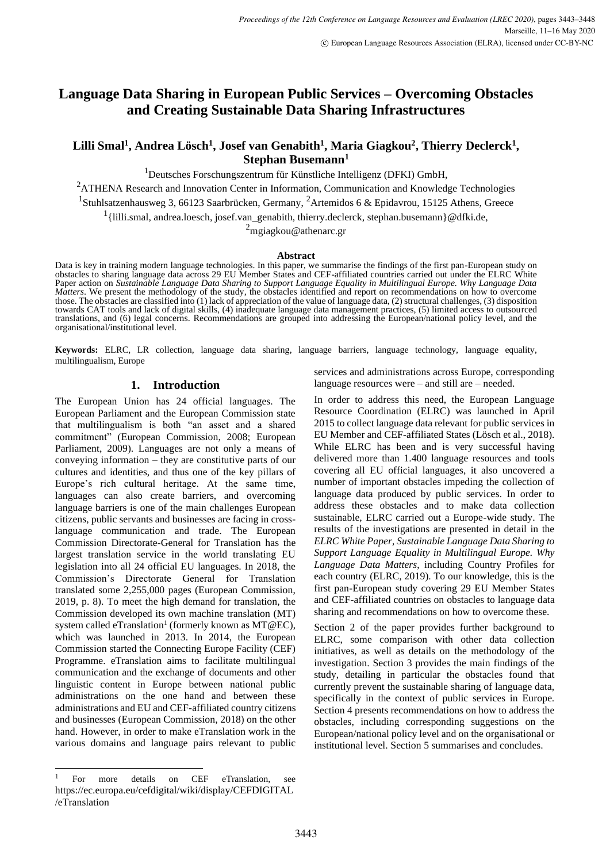# **Language Data Sharing in European Public Services – Overcoming Obstacles and Creating Sustainable Data Sharing Infrastructures**

## **Lilli Smal<sup>1</sup> , Andrea Lösch<sup>1</sup> , Josef van Genabith<sup>1</sup> , Maria Giagkou<sup>2</sup> , Thierry Declerck<sup>1</sup> , Stephan Busemann<sup>1</sup>**

<sup>1</sup>Deutsches Forschungszentrum für Künstliche Intelligenz (DFKI) GmbH,

<sup>2</sup>ATHENA Research and Innovation Center in Information, Communication and Knowledge Technologies

<sup>1</sup>Stuhlsatzenhausweg 3, 66123 Saarbrücken, Germany, <sup>2</sup>Artemidos 6 & Epidavrou, 15125 Athens, Greece

<sup>1</sup>{lilli.smal, andrea.loesch, josef.van\_genabith, thierry.declerck, stephan.busemann}@dfki.de,

 $2$ mgiagkou@athenarc.gr

#### **Abstract**

Data is key in training modern language technologies. In this paper, we summarise the findings of the first pan-European study on obstacles to sharing language data across 29 EU Member States and CEF-affiliated countries carried out under the ELRC White Paper action on *Sustainable Language Data Sharing to Support Language Equality in Multilingual Europe. Why Language Data Matters*. We present the methodology of the study, the obstacles identified and report on recommendations on how to overcome those. The obstacles are classified into (1) lack of appreciation of the value of language data, (2) structural challenges, (3) disposition towards CAT tools and lack of digital skills, (4) inadequate language data management practices, (5) limited access to outsourced translations, and (6) legal concerns. Recommendations are grouped into addressing the European/national policy level, and the organisational/institutional level.

**Keywords:** ELRC, LR collection, language data sharing, language barriers, language technology, language equality, multilingualism, Europe

### **1. Introduction**

The European Union has 24 official languages. The European Parliament and the European Commission state that multilingualism is both "an asset and a shared commitment" (European Commission, 2008; European Parliament, 2009). Languages are not only a means of conveying information – they are constitutive parts of our cultures and identities, and thus one of the key pillars of Europe's rich cultural heritage. At the same time, languages can also create barriers, and overcoming language barriers is one of the main challenges European citizens, public servants and businesses are facing in crosslanguage communication and trade. The European Commission Directorate-General for Translation has the largest translation service in the world translating EU legislation into all 24 official EU languages. In 2018, the Commission's Directorate General for Translation translated some 2,255,000 pages (European Commission, 2019, p. 8). To meet the high demand for translation, the Commission developed its own machine translation (MT) system called eTranslation<sup>1</sup> (formerly known as  $MT@EC$ ), which was launched in 2013. In 2014, the European Commission started the Connecting Europe Facility (CEF) Programme. eTranslation aims to facilitate multilingual communication and the exchange of documents and other linguistic content in Europe between national public administrations on the one hand and between these administrations and EU and CEF-affiliated country citizens and businesses (European Commission, 2018) on the other hand. However, in order to make eTranslation work in the various domains and language pairs relevant to public

services and administrations across Europe, corresponding language resources were – and still are – needed.

In order to address this need, the European Language Resource Coordination (ELRC) was launched in April 2015 to collect language data relevant for public services in EU Member and CEF-affiliated States (Lösch et al., 2018). While ELRC has been and is very successful having delivered more than 1.400 language resources and tools covering all EU official languages, it also uncovered a number of important obstacles impeding the collection of language data produced by public services. In order to address these obstacles and to make data collection sustainable, ELRC carried out a Europe-wide study. The results of the investigations are presented in detail in the *ELRC White Paper, Sustainable Language Data Sharing to Support Language Equality in Multilingual Europe. Why Language Data Matters*, including Country Profiles for each country (ELRC, 2019). To our knowledge, this is the first pan-European study covering 29 EU Member States and CEF-affiliated countries on obstacles to language data sharing and recommendations on how to overcome these.

Section 2 of the paper provides further background to ELRC, some comparison with other data collection initiatives, as well as details on the methodology of the investigation. Section 3 provides the main findings of the study, detailing in particular the obstacles found that currently prevent the sustainable sharing of language data, specifically in the context of public services in Europe. Section 4 presents recommendations on how to address the obstacles, including corresponding suggestions on the European/national policy level and on the organisational or institutional level. Section 5 summarises and concludes.

<sup>1</sup> For more details on CEF eTranslation, see https://ec.europa.eu/cefdigital/wiki/display/CEFDIGITAL /eTranslation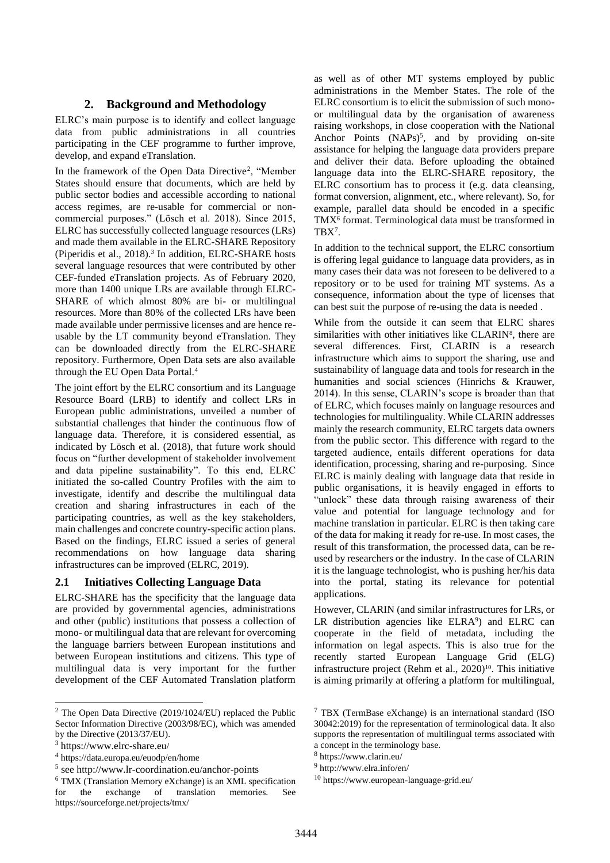## **2. Background and Methodology**

ELRC's main purpose is to identify and collect language data from public administrations in all countries participating in the CEF programme to further improve, develop, and expand eTranslation.

In the framework of the Open Data Directive<sup>2</sup>, "Member States should ensure that documents, which are held by public sector bodies and accessible according to national access regimes, are re-usable for commercial or noncommercial purposes." (Lösch et al. 2018). Since 2015, ELRC has successfully collected language resources (LRs) and made them available in the ELRC-SHARE Repository (Piperidis et al., 2018).<sup>3</sup> In addition, ELRC-SHARE hosts several language resources that were contributed by other CEF-funded eTranslation projects. As of February 2020, more than 1400 unique LRs are available through ELRC-SHARE of which almost 80% are bi- or multilingual resources. More than 80% of the collected LRs have been made available under permissive licenses and are hence reusable by the LT community beyond eTranslation. They can be downloaded directly from the ELRC-SHARE repository. Furthermore, Open Data sets are also available through the EU Open Data Portal.<sup>4</sup>

The joint effort by the ELRC consortium and its Language Resource Board (LRB) to identify and collect LRs in European public administrations, unveiled a number of substantial challenges that hinder the continuous flow of language data. Therefore, it is considered essential, as indicated by Lösch et al. (2018), that future work should focus on "further development of stakeholder involvement and data pipeline sustainability". To this end, ELRC initiated the so-called Country Profiles with the aim to investigate, identify and describe the multilingual data creation and sharing infrastructures in each of the participating countries, as well as the key stakeholders, main challenges and concrete country-specific action plans. Based on the findings, ELRC issued a series of general recommendations on how language data sharing infrastructures can be improved (ELRC, 2019).

## **2.1 Initiatives Collecting Language Data**

ELRC-SHARE has the specificity that the language data are provided by governmental agencies, administrations and other (public) institutions that possess a collection of mono- or multilingual data that are relevant for overcoming the language barriers between European institutions and between European institutions and citizens. This type of multilingual data is very important for the further development of the CEF Automated Translation platform as well as of other MT systems employed by public administrations in the Member States. The role of the ELRC consortium is to elicit the submission of such monoor multilingual data by the organisation of awareness raising workshops, in close cooperation with the National Anchor Points  $(NAPs)^5$ , and by providing on-site assistance for helping the language data providers prepare and deliver their data. Before uploading the obtained language data into the ELRC-SHARE repository, the ELRC consortium has to process it (e.g. data cleansing, format conversion, alignment, etc., where relevant). So, for example, parallel data should be encoded in a specific TMX<sup>6</sup> format. Terminological data must be transformed in  $TBX^7$ .

In addition to the technical support, the ELRC consortium is offering legal guidance to language data providers, as in many cases their data was not foreseen to be delivered to a repository or to be used for training MT systems. As a consequence, information about the type of licenses that can best suit the purpose of re-using the data is needed .

While from the outside it can seem that ELRC shares similarities with other initiatives like CLARIN<sup>8</sup>, there are several differences. First, CLARIN is a research infrastructure which aims to support the sharing, use and sustainability of language data and tools for research in the humanities and social sciences (Hinrichs & Krauwer, 2014). In this sense, CLARIN's scope is broader than that of ELRC, which focuses mainly on language resources and technologies for multilinguality. While CLARIN addresses mainly the research community, ELRC targets data owners from the public sector. This difference with regard to the targeted audience, entails different operations for data identification, processing, sharing and re-purposing. Since ELRC is mainly dealing with language data that reside in public organisations, it is heavily engaged in efforts to "unlock" these data through raising awareness of their value and potential for language technology and for machine translation in particular. ELRC is then taking care of the data for making it ready for re-use. In most cases, the result of this transformation, the processed data, can be reused by researchers or the industry. In the case of CLARIN it is the language technologist, who is pushing her/his data into the portal, stating its relevance for potential applications.

However, CLARIN (and similar infrastructures for LRs, or LR distribution agencies like ELRA<sup>9</sup>) and ELRC can cooperate in the field of metadata, including the information on legal aspects. This is also true for the recently started European Language Grid (ELG) infrastructure project (Rehm et al.,  $2020)^{10}$ . This initiative is aiming primarily at offering a platform for multilingual,

<sup>2</sup> The Open Data Directive (2019/1024/EU) replaced the Public Sector Information Directive (2003/98/EC), which was amended by the Directive (2013/37/EU).

<sup>3</sup> https://www.elrc-share.eu/

<sup>4</sup> <https://data.europa.eu/euodp/en/home>

<sup>5</sup> see http://www.lr-coordination.eu/anchor-points

<sup>6</sup> TMX (Translation Memory eXchange) is an XML specification for the exchange of translation memories. See https://sourceforge.net/projects/tmx/

<sup>7</sup> TBX (TermBase eXchange) is an international standard (ISO 30042:2019) for the representation of terminological data. It also supports the representation of multilingual terms associated with a concept in the terminology base.

<sup>8</sup> https://www.clarin.eu/

<sup>&</sup>lt;sup>9</sup> http://www.elra.info/en/

<sup>10</sup> https://www.european-language-grid.eu/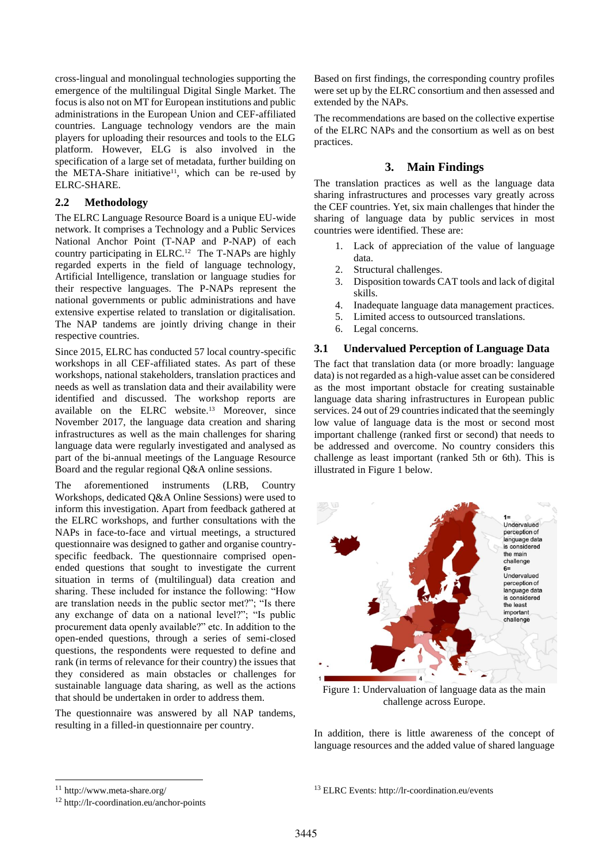cross-lingual and monolingual technologies supporting the emergence of the multilingual Digital Single Market. The focus is also not on MT for European institutions and public administrations in the European Union and CEF-affiliated countries. Language technology vendors are the main players for uploading their resources and tools to the ELG platform. However, ELG is also involved in the specification of a large set of metadata, further building on the META-Share initiative<sup>11</sup>, which can be re-used by ELRC-SHARE.

## **2.2 Methodology**

The ELRC Language Resource Board is a unique EU-wide network. It comprises a Technology and a Public Services National Anchor Point (T-NAP and P-NAP) of each country participating in ELRC.<sup>12</sup> The T-NAPs are highly regarded experts in the field of language technology, Artificial Intelligence, translation or language studies for their respective languages. The P-NAPs represent the national governments or public administrations and have extensive expertise related to translation or digitalisation. The NAP tandems are jointly driving change in their respective countries.

Since 2015, ELRC has conducted 57 local country-specific workshops in all CEF-affiliated states. As part of these workshops, national stakeholders, translation practices and needs as well as translation data and their availability were identified and discussed. The workshop reports are available on the ELRC website.<sup>13</sup> Moreover, since November 2017, the language data creation and sharing infrastructures as well as the main challenges for sharing language data were regularly investigated and analysed as part of the bi-annual meetings of the Language Resource Board and the regular regional Q&A online sessions.

The aforementioned instruments (LRB, Country Workshops, dedicated Q&A Online Sessions) were used to inform this investigation. Apart from feedback gathered at the ELRC workshops, and further consultations with the NAPs in face-to-face and virtual meetings, a structured questionnaire was designed to gather and organise countryspecific feedback. The questionnaire comprised openended questions that sought to investigate the current situation in terms of (multilingual) data creation and sharing. These included for instance the following: "How are translation needs in the public sector met?"; "Is there any exchange of data on a national level?"; "Is public procurement data openly available?" etc. In addition to the open-ended questions, through a series of semi-closed questions, the respondents were requested to define and rank (in terms of relevance for their country) the issues that they considered as main obstacles or challenges for sustainable language data sharing, as well as the actions that should be undertaken in order to address them.

The questionnaire was answered by all NAP tandems, resulting in a filled-in questionnaire per country.

Based on first findings, the corresponding country profiles were set up by the ELRC consortium and then assessed and extended by the NAPs.

The recommendations are based on the collective expertise of the ELRC NAPs and the consortium as well as on best practices.

## **3. Main Findings**

The translation practices as well as the language data sharing infrastructures and processes vary greatly across the CEF countries. Yet, six main challenges that hinder the sharing of language data by public services in most countries were identified. These are:

- 1. Lack of appreciation of the value of language data.
- 2. Structural challenges.
- 3. Disposition towards CAT tools and lack of digital skills.
- 4. Inadequate language data management practices.
- 5. Limited access to outsourced translations.
- 6. Legal concerns.

#### **3.1 Undervalued Perception of Language Data**

The fact that translation data (or more broadly: language data) is not regarded as a high-value asset can be considered as the most important obstacle for creating sustainable language data sharing infrastructures in European public services. 24 out of 29 countries indicated that the seemingly low value of language data is the most or second most important challenge (ranked first or second) that needs to be addressed and overcome. No country considers this challenge as least important (ranked 5th or 6th). This is illustrated in Figure 1 below.



Figure 1: Undervaluation of language data as the main challenge across Europe.

In addition, there is little awareness of the concept of language resources and the added value of shared language

<sup>13</sup> ELRC Events: http://lr-coordination.eu/events

<sup>11</sup> http://www.meta-share.org/

<sup>12</sup> http://lr-coordination.eu/anchor-points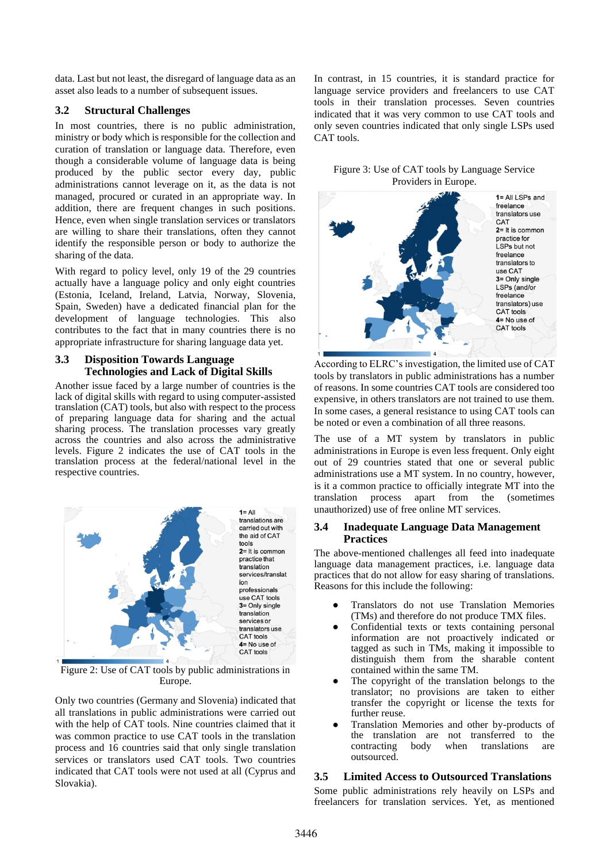data. Last but not least, the disregard of language data as an asset also leads to a number of subsequent issues.

### **3.2 Structural Challenges**

In most countries, there is no public administration, ministry or body which is responsible for the collection and curation of translation or language data. Therefore, even though a considerable volume of language data is being produced by the public sector every day, public administrations cannot leverage on it, as the data is not managed, procured or curated in an appropriate way. In addition, there are frequent changes in such positions. Hence, even when single translation services or translators are willing to share their translations, often they cannot identify the responsible person or body to authorize the sharing of the data.

With regard to policy level, only 19 of the 29 countries actually have a language policy and only eight countries (Estonia, Iceland, Ireland, Latvia, Norway, Slovenia, Spain, Sweden) have a dedicated financial plan for the development of language technologies. This also contributes to the fact that in many countries there is no appropriate infrastructure for sharing language data yet.

#### **3.3 Disposition Towards Language Technologies and Lack of Digital Skills**

Another issue faced by a large number of countries is the lack of digital skills with regard to using computer-assisted translation (CAT) tools, but also with respect to the process of preparing language data for sharing and the actual sharing process. The translation processes vary greatly across the countries and also across the administrative levels. Figure 2 indicates the use of CAT tools in the translation process at the federal/national level in the respective countries.



Figure 2: Use of CAT tools by public administrations in Europe.

Only two countries (Germany and Slovenia) indicated that all translations in public administrations were carried out with the help of CAT tools. Nine countries claimed that it was common practice to use CAT tools in the translation process and 16 countries said that only single translation services or translators used CAT tools. Two countries indicated that CAT tools were not used at all (Cyprus and Slovakia).

In contrast, in 15 countries, it is standard practice for language service providers and freelancers to use CAT tools in their translation processes. Seven countries indicated that it was very common to use CAT tools and only seven countries indicated that only single LSPs used CAT tools.

Figure 3: Use of CAT tools by Language Service Providers in Europe.



According to ELRC's investigation, the limited use of CAT tools by translators in public administrations has a number of reasons. In some countries CAT tools are considered too expensive, in others translators are not trained to use them. In some cases, a general resistance to using CAT tools can be noted or even a combination of all three reasons.

The use of a MT system by translators in public administrations in Europe is even less frequent. Only eight out of 29 countries stated that one or several public administrations use a MT system. In no country, however, is it a common practice to officially integrate MT into the translation process apart from the (sometimes unauthorized) use of free online MT services.

## **3.4 Inadequate Language Data Management Practices**

The above-mentioned challenges all feed into inadequate language data management practices, i.e. language data practices that do not allow for easy sharing of translations. Reasons for this include the following:

- Translators do not use Translation Memories (TMs) and therefore do not produce TMX files.
- Confidential texts or texts containing personal information are not proactively indicated or tagged as such in TMs, making it impossible to distinguish them from the sharable content contained within the same TM.
- The copyright of the translation belongs to the translator; no provisions are taken to either transfer the copyright or license the texts for further reuse.
- Translation Memories and other by-products of the translation are not transferred to the contracting body when translations are outsourced.

## **3.5 Limited Access to Outsourced Translations**

Some public administrations rely heavily on LSPs and freelancers for translation services. Yet, as mentioned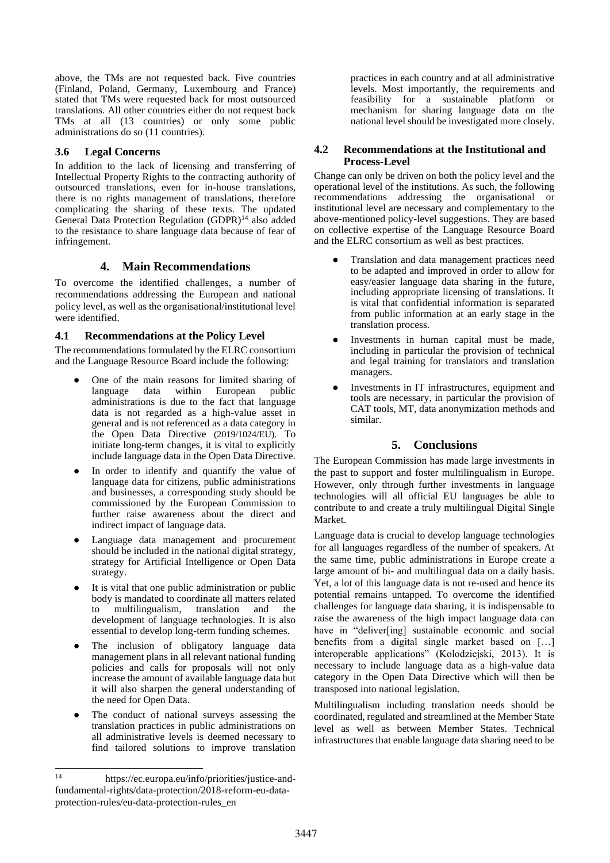above, the TMs are not requested back. Five countries (Finland, Poland, Germany, Luxembourg and France) stated that TMs were requested back for most outsourced translations. All other countries either do not request back TMs at all (13 countries) or only some public administrations do so (11 countries).

## **3.6 Legal Concerns**

In addition to the lack of licensing and transferring of Intellectual Property Rights to the contracting authority of outsourced translations, even for in-house translations, there is no rights management of translations, therefore complicating the sharing of these texts. The updated General Data Protection Regulation (GDPR)<sup>14</sup> also added to the resistance to share language data because of fear of infringement.

## **4. Main Recommendations**

To overcome the identified challenges, a number of recommendations addressing the European and national policy level, as well as the organisational/institutional level were identified.

#### **4.1 Recommendations at the Policy Level**

The recommendations formulated by the ELRC consortium and the Language Resource Board include the following:

- One of the main reasons for limited sharing of language data within European public language data within European public administrations is due to the fact that language data is not regarded as a high-value asset in general and is not referenced as a data category in the Open Data Directive (2019/1024/EU). To initiate long-term changes, it is vital to explicitly include language data in the Open Data Directive.
- In order to identify and quantify the value of language data for citizens, public administrations and businesses, a corresponding study should be commissioned by the European Commission to further raise awareness about the direct and indirect impact of language data.
- Language data management and procurement should be included in the national digital strategy, strategy for Artificial Intelligence or Open Data strategy.
- It is vital that one public administration or public body is mandated to coordinate all matters related multilingualism, translation and the development of language technologies. It is also essential to develop long-term funding schemes.
- The inclusion of obligatory language data management plans in all relevant national funding policies and calls for proposals will not only increase the amount of available language data but it will also sharpen the general understanding of the need for Open Data.
- The conduct of national surveys assessing the translation practices in public administrations on all administrative levels is deemed necessary to find tailored solutions to improve translation

practices in each country and at all administrative levels. Most importantly, the requirements and feasibility for a sustainable platform or mechanism for sharing language data on the national level should be investigated more closely.

## **4.2 Recommendations at the Institutional and Process-Level**

Change can only be driven on both the policy level and the operational level of the institutions. As such, the following recommendations addressing the organisational or institutional level are necessary and complementary to the above-mentioned policy-level suggestions. They are based on collective expertise of the Language Resource Board and the ELRC consortium as well as best practices.

- Translation and data management practices need to be adapted and improved in order to allow for easy/easier language data sharing in the future, including appropriate licensing of translations. It is vital that confidential information is separated from public information at an early stage in the translation process.
- Investments in human capital must be made, including in particular the provision of technical and legal training for translators and translation managers.
- Investments in IT infrastructures, equipment and tools are necessary, in particular the provision of CAT tools, MT, data anonymization methods and similar.

## **5. Conclusions**

The European Commission has made large investments in the past to support and foster multilingualism in Europe. However, only through further investments in language technologies will all official EU languages be able to contribute to and create a truly multilingual Digital Single Market.

Language data is crucial to develop language technologies for all languages regardless of the number of speakers. At the same time, public administrations in Europe create a large amount of bi- and multilingual data on a daily basis. Yet, a lot of this language data is not re-used and hence its potential remains untapped. To overcome the identified challenges for language data sharing, it is indispensable to raise the awareness of the high impact language data can have in "deliver[ing] sustainable economic and social benefits from a digital single market based on […] interoperable applications" (Kolodziejski, 2013). It is necessary to include language data as a high-value data category in the Open Data Directive which will then be transposed into national legislation.

Multilingualism including translation needs should be coordinated, regulated and streamlined at the Member State level as well as between Member States. Technical infrastructures that enable language data sharing need to be

<sup>14</sup> https://ec.europa.eu/info/priorities/justice-andfundamental-rights/data-protection/2018-reform-eu-dataprotection-rules/eu-data-protection-rules\_en